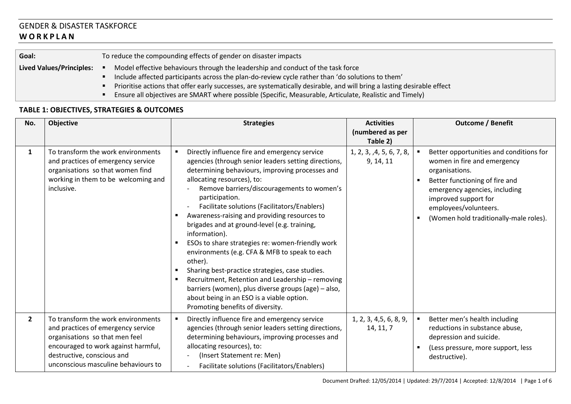## GENDER & DISASTER TASKFORCE **W O R K P L A N**

| Goal:                                                                                                                  |                                                                                                  | To reduce the compounding effects of gender on disaster impacts |  |  |
|------------------------------------------------------------------------------------------------------------------------|--------------------------------------------------------------------------------------------------|-----------------------------------------------------------------|--|--|
| Model effective behaviours through the leadership and conduct of the task force<br><b>Lived Values/Principles:</b>     |                                                                                                  |                                                                 |  |  |
|                                                                                                                        | lnclude affected participants across the plan-do-review cycle rather than 'do solutions to them' |                                                                 |  |  |
| Prioritise actions that offer early successes, are systematically desirable, and will bring a lasting desirable effect |                                                                                                  |                                                                 |  |  |

Ensure all objectives are SMART where possible (Specific, Measurable, Articulate, Realistic and Timely)

## **TABLE 1: OBJECTIVES, STRATEGIES & OUTCOMES**

| No.            | Objective                                                                                                                                                                                                              | <b>Strategies</b>                                                                                                                                                                                                                                                                                                                                                                                                                                                                                                                                                                                                                                                                                                                                                                      | <b>Activities</b><br>(numbered as per<br>Table 2) |                | <b>Outcome / Benefit</b>                                                                                                                                                                                                                               |
|----------------|------------------------------------------------------------------------------------------------------------------------------------------------------------------------------------------------------------------------|----------------------------------------------------------------------------------------------------------------------------------------------------------------------------------------------------------------------------------------------------------------------------------------------------------------------------------------------------------------------------------------------------------------------------------------------------------------------------------------------------------------------------------------------------------------------------------------------------------------------------------------------------------------------------------------------------------------------------------------------------------------------------------------|---------------------------------------------------|----------------|--------------------------------------------------------------------------------------------------------------------------------------------------------------------------------------------------------------------------------------------------------|
| $\mathbf{1}$   | To transform the work environments<br>and practices of emergency service<br>organisations so that women find<br>working in them to be welcoming and<br>inclusive.                                                      | Directly influence fire and emergency service<br>agencies (through senior leaders setting directions,<br>determining behaviours, improving processes and<br>allocating resources), to:<br>Remove barriers/discouragements to women's<br>participation.<br>Facilitate solutions (Facilitators/Enablers)<br>Awareness-raising and providing resources to<br>brigades and at ground-level (e.g. training,<br>information).<br>ESOs to share strategies re: women-friendly work<br>environments (e.g. CFA & MFB to speak to each<br>other).<br>Sharing best-practice strategies, case studies.<br>Recruitment, Retention and Leadership - removing<br>barriers (women), plus diverse groups (age) - also,<br>about being in an ESO is a viable option.<br>Promoting benefits of diversity. | 1, 2, 3, ,4, 5, 6, 7, 8,<br>9, 14, 11             | $\blacksquare$ | Better opportunities and conditions for<br>women in fire and emergency<br>organisations.<br>Better functioning of fire and<br>emergency agencies, including<br>improved support for<br>employees/volunteers.<br>(Women hold traditionally-male roles). |
| $\overline{2}$ | To transform the work environments<br>and practices of emergency service<br>organisations so that men feel<br>encouraged to work against harmful,<br>destructive, conscious and<br>unconscious masculine behaviours to | Directly influence fire and emergency service<br>agencies (through senior leaders setting directions,<br>determining behaviours, improving processes and<br>allocating resources), to:<br>(Insert Statement re: Men)<br>Facilitate solutions (Facilitators/Enablers)                                                                                                                                                                                                                                                                                                                                                                                                                                                                                                                   | 1, 2, 3, 4, 5, 6, 8, 9,<br>14, 11, 7              |                | Better men's health including<br>reductions in substance abuse,<br>depression and suicide.<br>(Less pressure, more support, less<br>destructive).                                                                                                      |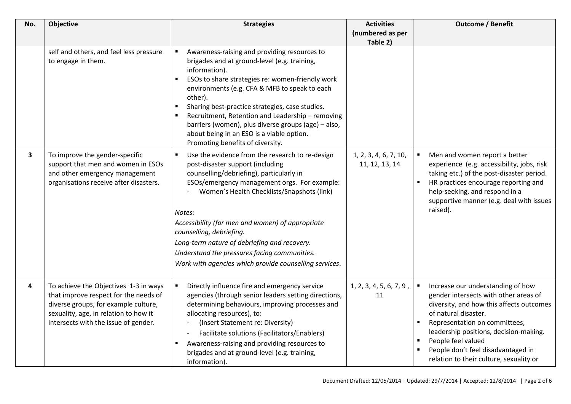| No.                     | Objective                                                                                                                                                                                               | <b>Strategies</b>                                                                                                                                                                                                                                                                                                                                                                                                                                                                                   | <b>Activities</b>                       | <b>Outcome / Benefit</b>                                                                                                                                                                                                                                                                                                         |
|-------------------------|---------------------------------------------------------------------------------------------------------------------------------------------------------------------------------------------------------|-----------------------------------------------------------------------------------------------------------------------------------------------------------------------------------------------------------------------------------------------------------------------------------------------------------------------------------------------------------------------------------------------------------------------------------------------------------------------------------------------------|-----------------------------------------|----------------------------------------------------------------------------------------------------------------------------------------------------------------------------------------------------------------------------------------------------------------------------------------------------------------------------------|
|                         |                                                                                                                                                                                                         |                                                                                                                                                                                                                                                                                                                                                                                                                                                                                                     | (numbered as per                        |                                                                                                                                                                                                                                                                                                                                  |
|                         |                                                                                                                                                                                                         |                                                                                                                                                                                                                                                                                                                                                                                                                                                                                                     | Table 2)                                |                                                                                                                                                                                                                                                                                                                                  |
|                         | self and others, and feel less pressure<br>to engage in them.                                                                                                                                           | Awareness-raising and providing resources to<br>$\blacksquare$<br>brigades and at ground-level (e.g. training,<br>information).<br>ESOs to share strategies re: women-friendly work<br>environments (e.g. CFA & MFB to speak to each<br>other).<br>Sharing best-practice strategies, case studies.<br>Recruitment, Retention and Leadership - removing<br>barriers (women), plus diverse groups (age) - also,<br>about being in an ESO is a viable option.<br>Promoting benefits of diversity.      |                                         |                                                                                                                                                                                                                                                                                                                                  |
| $\mathbf{3}$            | To improve the gender-specific<br>support that men and women in ESOs<br>and other emergency management<br>organisations receive after disasters.                                                        | $\blacksquare$<br>Use the evidence from the research to re-design<br>post-disaster support (including<br>counselling/debriefing), particularly in<br>ESOs/emergency management orgs. For example:<br>Women's Health Checklists/Snapshots (link)<br>Notes:<br>Accessibility (for men and women) of appropriate<br>counselling, debriefing.<br>Long-term nature of debriefing and recovery.<br>Understand the pressures facing communities.<br>Work with agencies which provide counselling services. | 1, 2, 3, 4, 6, 7, 10,<br>11, 12, 13, 14 | Men and women report a better<br>experience (e.g. accessibility, jobs, risk<br>taking etc.) of the post-disaster period.<br>HR practices encourage reporting and<br>help-seeking, and respond in a<br>supportive manner (e.g. deal with issues<br>raised).                                                                       |
| $\overline{\mathbf{4}}$ | To achieve the Objectives 1-3 in ways<br>that improve respect for the needs of<br>diverse groups, for example culture,<br>sexuality, age, in relation to how it<br>intersects with the issue of gender. | Directly influence fire and emergency service<br>$\blacksquare$<br>agencies (through senior leaders setting directions,<br>determining behaviours, improving processes and<br>allocating resources), to:<br>(Insert Statement re: Diversity)<br>Facilitate solutions (Facilitators/Enablers)<br>Awareness-raising and providing resources to<br>$\blacksquare$<br>brigades and at ground-level (e.g. training,<br>information).                                                                     | 1, 2, 3, 4, 5, 6, 7, 9,<br>11           | Increase our understanding of how<br>gender intersects with other areas of<br>diversity, and how this affects outcomes<br>of natural disaster.<br>Representation on committees,<br>leadership positions, decision-making.<br>People feel valued<br>People don't feel disadvantaged in<br>relation to their culture, sexuality or |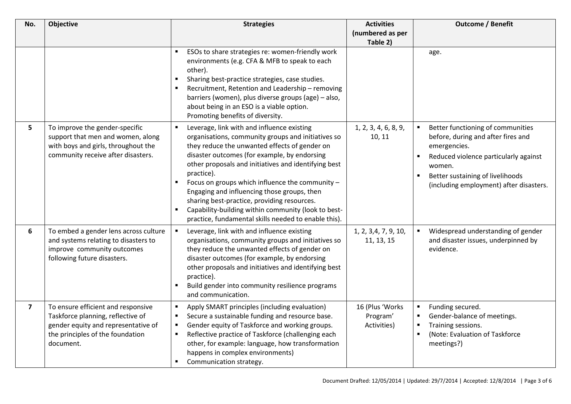| No.                     | Objective                                                                                                                                                       | <b>Strategies</b>                                                                                                                                                                                                                                                                                                                                                                                                                                                                                                                                                           | <b>Activities</b>                          | <b>Outcome / Benefit</b>                                                                                                                                                                                                                    |
|-------------------------|-----------------------------------------------------------------------------------------------------------------------------------------------------------------|-----------------------------------------------------------------------------------------------------------------------------------------------------------------------------------------------------------------------------------------------------------------------------------------------------------------------------------------------------------------------------------------------------------------------------------------------------------------------------------------------------------------------------------------------------------------------------|--------------------------------------------|---------------------------------------------------------------------------------------------------------------------------------------------------------------------------------------------------------------------------------------------|
|                         |                                                                                                                                                                 |                                                                                                                                                                                                                                                                                                                                                                                                                                                                                                                                                                             | (numbered as per                           |                                                                                                                                                                                                                                             |
|                         |                                                                                                                                                                 |                                                                                                                                                                                                                                                                                                                                                                                                                                                                                                                                                                             | Table 2)                                   |                                                                                                                                                                                                                                             |
|                         |                                                                                                                                                                 | ESOs to share strategies re: women-friendly work<br>environments (e.g. CFA & MFB to speak to each<br>other).<br>Sharing best-practice strategies, case studies.<br>Recruitment, Retention and Leadership - removing<br>barriers (women), plus diverse groups (age) - also,<br>about being in an ESO is a viable option.<br>Promoting benefits of diversity.                                                                                                                                                                                                                 |                                            | age.                                                                                                                                                                                                                                        |
| 5                       | To improve the gender-specific<br>support that men and women, along<br>with boys and girls, throughout the<br>community receive after disasters.                | Leverage, link with and influence existing<br>$\blacksquare$<br>organisations, community groups and initiatives so<br>they reduce the unwanted effects of gender on<br>disaster outcomes (for example, by endorsing<br>other proposals and initiatives and identifying best<br>practice).<br>Focus on groups which influence the community -<br>$\blacksquare$<br>Engaging and influencing those groups, then<br>sharing best-practice, providing resources.<br>Capability-building within community (look to best-<br>practice, fundamental skills needed to enable this). | 1, 2, 3, 4, 6, 8, 9,<br>10, 11             | Better functioning of communities<br>before, during and after fires and<br>emergencies.<br>Reduced violence particularly against<br>$\blacksquare$<br>women.<br>Better sustaining of livelihoods<br>(including employment) after disasters. |
| 6                       | To embed a gender lens across culture<br>and systems relating to disasters to<br>improve community outcomes<br>following future disasters.                      | $\blacksquare$<br>Leverage, link with and influence existing<br>organisations, community groups and initiatives so<br>they reduce the unwanted effects of gender on<br>disaster outcomes (for example, by endorsing<br>other proposals and initiatives and identifying best<br>practice).<br>Build gender into community resilience programs<br>and communication.                                                                                                                                                                                                          | 1, 2, 3, 4, 7, 9, 10,<br>11, 13, 15        | Widespread understanding of gender<br>and disaster issues, underpinned by<br>evidence.                                                                                                                                                      |
| $\overline{\mathbf{z}}$ | To ensure efficient and responsive<br>Taskforce planning, reflective of<br>gender equity and representative of<br>the principles of the foundation<br>document. | Apply SMART principles (including evaluation)<br>٠<br>Secure a sustainable funding and resource base.<br>٠<br>Gender equity of Taskforce and working groups.<br>$\blacksquare$<br>Reflective practice of Taskforce (challenging each<br>٠<br>other, for example: language, how transformation<br>happens in complex environments)<br>Communication strategy.<br>٠                                                                                                                                                                                                           | 16 (Plus 'Works<br>Program'<br>Activities) | Funding secured.<br>п<br>Gender-balance of meetings.<br>Training sessions.<br>п<br>(Note: Evaluation of Taskforce<br>meetings?)                                                                                                             |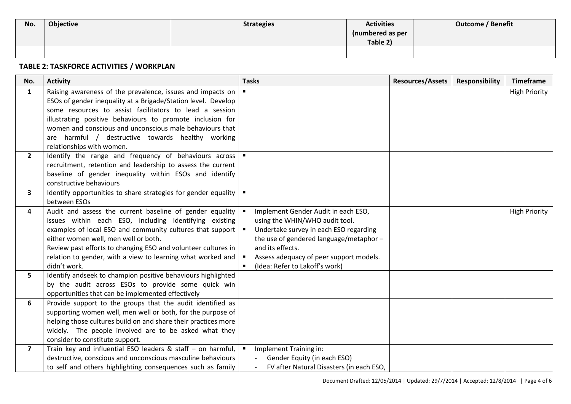| No. | <b>Objective</b> | <b>Strategies</b> | <b>Activities</b> | <b>Outcome / Benefit</b> |
|-----|------------------|-------------------|-------------------|--------------------------|
|     |                  |                   | (numbered as per  |                          |
|     |                  |                   | Table 2)          |                          |
|     |                  |                   |                   |                          |

## **TABLE 2: TASKFORCE ACTIVITIES / WORKPLAN**

| No.            | <b>Activity</b>                                                                                | <b>Tasks</b>                                          | <b>Resources/Assets</b> | <b>Responsibility</b> | <b>Timeframe</b>     |
|----------------|------------------------------------------------------------------------------------------------|-------------------------------------------------------|-------------------------|-----------------------|----------------------|
| $\mathbf{1}$   | Raising awareness of the prevalence, issues and impacts on                                     |                                                       |                         |                       | <b>High Priority</b> |
|                | ESOs of gender inequality at a Brigade/Station level. Develop                                  |                                                       |                         |                       |                      |
|                | some resources to assist facilitators to lead a session                                        |                                                       |                         |                       |                      |
|                | illustrating positive behaviours to promote inclusion for                                      |                                                       |                         |                       |                      |
|                | women and conscious and unconscious male behaviours that                                       |                                                       |                         |                       |                      |
|                | are harmful / destructive towards healthy working                                              |                                                       |                         |                       |                      |
|                | relationships with women.                                                                      |                                                       |                         |                       |                      |
| $\mathbf{2}$   | Identify the range and frequency of behaviours across                                          | $\blacksquare$                                        |                         |                       |                      |
|                | recruitment, retention and leadership to assess the current                                    |                                                       |                         |                       |                      |
|                | baseline of gender inequality within ESOs and identify                                         |                                                       |                         |                       |                      |
|                | constructive behaviours                                                                        |                                                       |                         |                       |                      |
| $\mathbf{3}$   | Identify opportunities to share strategies for gender equality                                 | $\blacksquare$                                        |                         |                       |                      |
|                | between ESOs                                                                                   |                                                       |                         |                       |                      |
| 4              | Audit and assess the current baseline of gender equality                                       | Implement Gender Audit in each ESO,                   |                         |                       | <b>High Priority</b> |
|                | issues within each ESO, including identifying existing                                         | using the WHIN/WHO audit tool.                        |                         |                       |                      |
|                | examples of local ESO and community cultures that support                                      | Undertake survey in each ESO regarding                |                         |                       |                      |
|                | either women well, men well or both.                                                           | the use of gendered language/metaphor-                |                         |                       |                      |
|                | Review past efforts to changing ESO and volunteer cultures in                                  | and its effects.                                      |                         |                       |                      |
|                | relation to gender, with a view to learning what worked and                                    | Assess adequacy of peer support models.               |                         |                       |                      |
|                | didn't work.                                                                                   | (Idea: Refer to Lakoff's work)                        |                         |                       |                      |
| 5.             | Identify andseek to champion positive behaviours highlighted                                   |                                                       |                         |                       |                      |
|                | by the audit across ESOs to provide some quick win                                             |                                                       |                         |                       |                      |
|                | opportunities that can be implemented effectively                                              |                                                       |                         |                       |                      |
| 6              | Provide support to the groups that the audit identified as                                     |                                                       |                         |                       |                      |
|                | supporting women well, men well or both, for the purpose of                                    |                                                       |                         |                       |                      |
|                | helping those cultures build on and share their practices more                                 |                                                       |                         |                       |                      |
|                | widely. The people involved are to be asked what they                                          |                                                       |                         |                       |                      |
| $\overline{7}$ | consider to constitute support.<br>Train key and influential ESO leaders & staff - on harmful, |                                                       |                         |                       |                      |
|                | destructive, conscious and unconscious masculine behaviours                                    | Implement Training in:<br>Gender Equity (in each ESO) |                         |                       |                      |
|                |                                                                                                | FV after Natural Disasters (in each ESO,              |                         |                       |                      |
|                | to self and others highlighting consequences such as family                                    |                                                       |                         |                       |                      |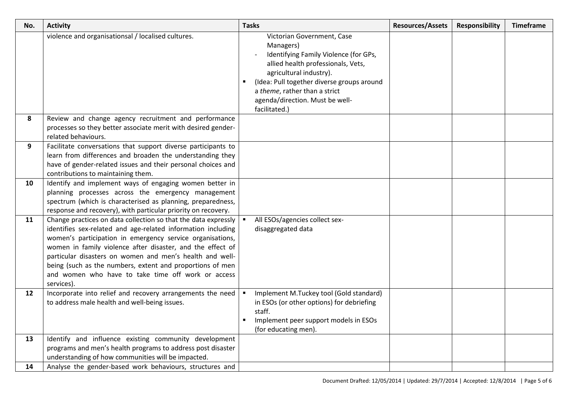| No. | <b>Activity</b>                                                                                                                 | <b>Tasks</b>                                                                     | <b>Resources/Assets</b> | <b>Responsibility</b> | <b>Timeframe</b> |
|-----|---------------------------------------------------------------------------------------------------------------------------------|----------------------------------------------------------------------------------|-------------------------|-----------------------|------------------|
|     | violence and organisationsal / localised cultures.                                                                              | Victorian Government, Case<br>Managers)<br>Identifying Family Violence (for GPs, |                         |                       |                  |
|     |                                                                                                                                 | allied health professionals, Vets,<br>agricultural industry).                    |                         |                       |                  |
|     |                                                                                                                                 | (Idea: Pull together diverse groups around                                       |                         |                       |                  |
|     |                                                                                                                                 | a theme, rather than a strict                                                    |                         |                       |                  |
|     |                                                                                                                                 | agenda/direction. Must be well-<br>facilitated.)                                 |                         |                       |                  |
| 8   | Review and change agency recruitment and performance                                                                            |                                                                                  |                         |                       |                  |
|     | processes so they better associate merit with desired gender-                                                                   |                                                                                  |                         |                       |                  |
| 9   | related behaviours.                                                                                                             |                                                                                  |                         |                       |                  |
|     | Facilitate conversations that support diverse participants to<br>learn from differences and broaden the understanding they      |                                                                                  |                         |                       |                  |
|     | have of gender-related issues and their personal choices and                                                                    |                                                                                  |                         |                       |                  |
|     | contributions to maintaining them.                                                                                              |                                                                                  |                         |                       |                  |
| 10  | Identify and implement ways of engaging women better in                                                                         |                                                                                  |                         |                       |                  |
|     | planning processes across the emergency management                                                                              |                                                                                  |                         |                       |                  |
|     | spectrum (which is characterised as planning, preparedness,                                                                     |                                                                                  |                         |                       |                  |
| 11  | response and recovery), with particular priority on recovery.<br>Change practices on data collection so that the data expressly | All ESOs/agencies collect sex-                                                   |                         |                       |                  |
|     | identifies sex-related and age-related information including                                                                    | disaggregated data                                                               |                         |                       |                  |
|     | women's participation in emergency service organisations,                                                                       |                                                                                  |                         |                       |                  |
|     | women in family violence after disaster, and the effect of                                                                      |                                                                                  |                         |                       |                  |
|     | particular disasters on women and men's health and well-                                                                        |                                                                                  |                         |                       |                  |
|     | being (such as the numbers, extent and proportions of men                                                                       |                                                                                  |                         |                       |                  |
|     | and women who have to take time off work or access<br>services).                                                                |                                                                                  |                         |                       |                  |
| 12  | Incorporate into relief and recovery arrangements the need                                                                      | Implement M.Tuckey tool (Gold standard)                                          |                         |                       |                  |
|     | to address male health and well-being issues.                                                                                   | in ESOs (or other options) for debriefing                                        |                         |                       |                  |
|     |                                                                                                                                 | staff.                                                                           |                         |                       |                  |
|     |                                                                                                                                 | Implement peer support models in ESOs                                            |                         |                       |                  |
|     |                                                                                                                                 | (for educating men).                                                             |                         |                       |                  |
| 13  | Identify and influence existing community development                                                                           |                                                                                  |                         |                       |                  |
|     | programs and men's health programs to address post disaster<br>understanding of how communities will be impacted.               |                                                                                  |                         |                       |                  |
| 14  | Analyse the gender-based work behaviours, structures and                                                                        |                                                                                  |                         |                       |                  |